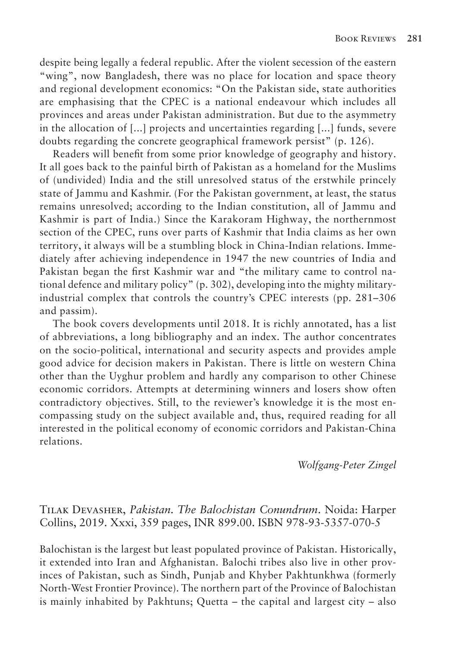despite being legally a federal republic. After the violent secession of the eastern "wing", now Bangladesh, there was no place for location and space theory and regional development economics: "On the Pakistan side, state authorities are emphasising that the CPEC is a national endeavour which includes all provinces and areas under Pakistan administration. But due to the asymmetry in the allocation of [...] projects and uncertainties regarding [...] funds, severe doubts regarding the concrete geographical framework persist" (p. 126).

Readers will benefit from some prior knowledge of geography and history. It all goes back to the painful birth of Pakistan as a homeland for the Muslims of (undivided) India and the still unresolved status of the erstwhile princely state of Jammu and Kashmir. (For the Pakistan government, at least, the status remains unresolved; according to the Indian constitution, all of Jammu and Kashmir is part of India.) Since the Karakoram Highway, the northernmost section of the CPEC, runs over parts of Kashmir that India claims as her own territory, it always will be a stumbling block in China-Indian relations. Immediately after achieving independence in 1947 the new countries of India and Pakistan began the first Kashmir war and "the military came to control national defence and military policy" (p. 302), developing into the mighty militaryindustrial complex that controls the country's CPEC interests (pp. 281–306 and passim).

The book covers developments until 2018. It is richly annotated, has a list of abbreviations, a long bibliography and an index. The author concentrates on the socio-political, international and security aspects and provides ample good advice for decision makers in Pakistan. There is little on western China other than the Uyghur problem and hardly any comparison to other Chinese economic corridors. Attempts at determining winners and losers show often contradictory objectives. Still, to the reviewer's knowledge it is the most encompassing study on the subject available and, thus, required reading for all interested in the political economy of economic corridors and Pakistan-China relations.

*Wolfgang-Peter Zingel*

## Tilak Devasher, *Pakistan. The Balochistan Conundrum*. Noida: Harper Collins, 2019. Xxxi, 359 pages, INR 899.00. ISBN 978-93-5357-070-5

Balochistan is the largest but least populated province of Pakistan. Historically, it extended into Iran and Afghanistan. Balochi tribes also live in other provinces of Pakistan, such as Sindh, Punjab and Khyber Pakhtunkhwa (formerly North-West Frontier Province). The northern part of the Province of Balochistan is mainly inhabited by Pakhtuns; Quetta – the capital and largest city – also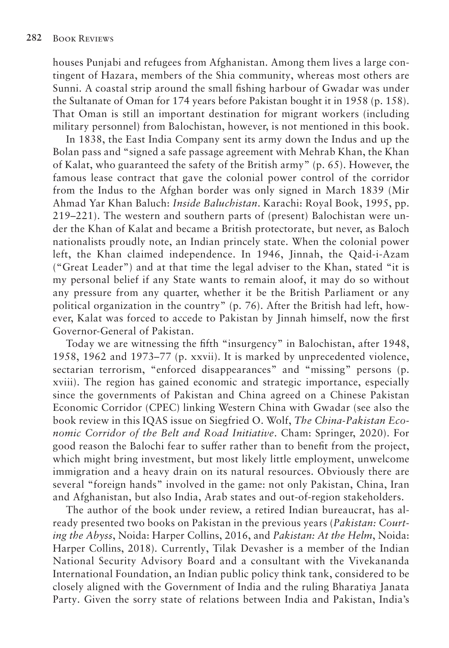houses Punjabi and refugees from Afghanistan. Among them lives a large contingent of Hazara, members of the Shia community, whereas most others are Sunni. A coastal strip around the small fishing harbour of Gwadar was under the Sultanate of Oman for 174 years before Pakistan bought it in 1958 (p. 158). That Oman is still an important destination for migrant workers (including military personnel) from Balochistan, however, is not mentioned in this book.

In 1838, the East India Company sent its army down the Indus and up the Bolan pass and "signed a safe passage agreement with Mehrab Khan, the Khan of Kalat, who guaranteed the safety of the British army" (p. 65). However, the famous lease contract that gave the colonial power control of the corridor from the Indus to the Afghan border was only signed in March 1839 (Mir Ahmad Yar Khan Baluch: *Inside Baluchistan*. Karachi: Royal Book, 1995, pp. 219–221). The western and southern parts of (present) Balochistan were under the Khan of Kalat and became a British protectorate, but never, as Baloch nationalists proudly note, an Indian princely state. When the colonial power left, the Khan claimed independence. In 1946, Jinnah, the Qaid-i-Azam ("Great Leader") and at that time the legal adviser to the Khan, stated "it is my personal belief if any State wants to remain aloof, it may do so without any pressure from any quarter, whether it be the British Parliament or any political organization in the country" (p. 76). After the British had left, however, Kalat was forced to accede to Pakistan by Jinnah himself, now the first Governor-General of Pakistan.

Today we are witnessing the fifth "insurgency" in Balochistan, after 1948, 1958, 1962 and 1973–77 (p. xxvii). It is marked by unprecedented violence, sectarian terrorism, "enforced disappearances" and "missing" persons (p. xviii). The region has gained economic and strategic importance, especially since the governments of Pakistan and China agreed on a Chinese Pakistan Economic Corridor (CPEC) linking Western China with Gwadar (see also the book review in this IQAS issue on Siegfried O. Wolf, *The China-Pakistan Economic Corridor of the Belt and Road Initiative*. Cham: Springer, 2020). For good reason the Balochi fear to suffer rather than to benefit from the project, which might bring investment, but most likely little employment, unwelcome immigration and a heavy drain on its natural resources. Obviously there are several "foreign hands" involved in the game: not only Pakistan, China, Iran and Afghanistan, but also India, Arab states and out-of-region stakeholders.

The author of the book under review, a retired Indian bureaucrat, has already presented two books on Pakistan in the previous years (*Pakistan: Courting the Abyss*, Noida: Harper Collins, 2016, and *Pakistan: At the Helm*, Noida: Harper Collins, 2018). Currently, Tilak Devasher is a member of the Indian National Security Advisory Board and a consultant with the Vivekananda International Foundation, an Indian public policy think tank, considered to be closely aligned with the Government of India and the ruling Bharatiya Janata Party. Given the sorry state of relations between India and Pakistan, India's